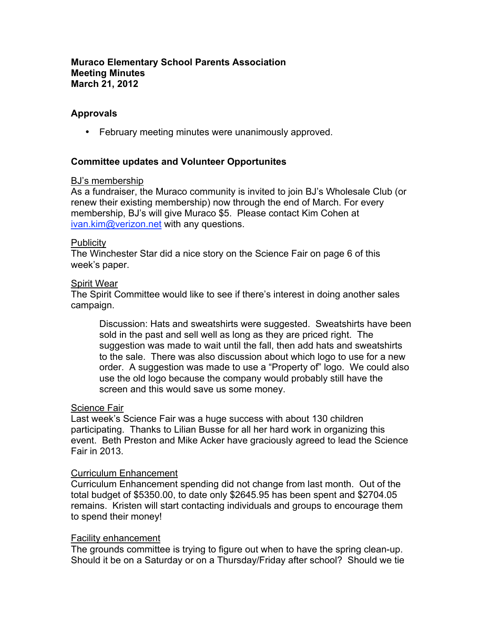## **Muraco Elementary School Parents Association Meeting Minutes March 21, 2012**

## **Approvals**

• February meeting minutes were unanimously approved.

## **Committee updates and Volunteer Opportunites**

#### BJ's membership

As a fundraiser, the Muraco community is invited to join BJ's Wholesale Club (or renew their existing membership) now through the end of March. For every membership, BJ's will give Muraco \$5. Please contact Kim Cohen at ivan.kim@verizon.net with any questions.

#### Publicity

The Winchester Star did a nice story on the Science Fair on page 6 of this week's paper.

#### Spirit Wear

The Spirit Committee would like to see if there's interest in doing another sales campaign.

Discussion: Hats and sweatshirts were suggested. Sweatshirts have been sold in the past and sell well as long as they are priced right. The suggestion was made to wait until the fall, then add hats and sweatshirts to the sale. There was also discussion about which logo to use for a new order. A suggestion was made to use a "Property of" logo. We could also use the old logo because the company would probably still have the screen and this would save us some money.

#### Science Fair

Last week's Science Fair was a huge success with about 130 children participating. Thanks to Lilian Busse for all her hard work in organizing this event. Beth Preston and Mike Acker have graciously agreed to lead the Science Fair in 2013.

#### Curriculum Enhancement

Curriculum Enhancement spending did not change from last month. Out of the total budget of \$5350.00, to date only \$2645.95 has been spent and \$2704.05 remains. Kristen will start contacting individuals and groups to encourage them to spend their money!

#### Facility enhancement

The grounds committee is trying to figure out when to have the spring clean-up. Should it be on a Saturday or on a Thursday/Friday after school? Should we tie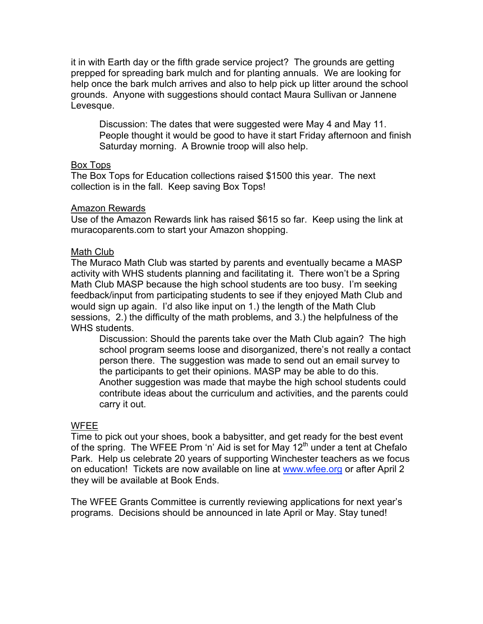it in with Earth day or the fifth grade service project? The grounds are getting prepped for spreading bark mulch and for planting annuals. We are looking for help once the bark mulch arrives and also to help pick up litter around the school grounds. Anyone with suggestions should contact Maura Sullivan or Jannene Levesque.

Discussion: The dates that were suggested were May 4 and May 11. People thought it would be good to have it start Friday afternoon and finish Saturday morning. A Brownie troop will also help.

# Box Tops

The Box Tops for Education collections raised \$1500 this year. The next collection is in the fall. Keep saving Box Tops!

## Amazon Rewards

Use of the Amazon Rewards link has raised \$615 so far. Keep using the link at muracoparents.com to start your Amazon shopping.

## Math Club

The Muraco Math Club was started by parents and eventually became a MASP activity with WHS students planning and facilitating it. There won't be a Spring Math Club MASP because the high school students are too busy. I'm seeking feedback/input from participating students to see if they enjoyed Math Club and would sign up again. I'd also like input on 1.) the length of the Math Club sessions, 2.) the difficulty of the math problems, and 3.) the helpfulness of the WHS students.

Discussion: Should the parents take over the Math Club again? The high school program seems loose and disorganized, there's not really a contact person there. The suggestion was made to send out an email survey to the participants to get their opinions. MASP may be able to do this. Another suggestion was made that maybe the high school students could contribute ideas about the curriculum and activities, and the parents could carry it out.

# WFEE

Time to pick out your shoes, book a babysitter, and get ready for the best event of the spring. The WFEE Prom 'n' Aid is set for May  $12<sup>th</sup>$  under a tent at Chefalo Park. Help us celebrate 20 years of supporting Winchester teachers as we focus on education! Tickets are now available on line at www.wfee.org or after April 2 they will be available at Book Ends.

The WFEE Grants Committee is currently reviewing applications for next year's programs. Decisions should be announced in late April or May. Stay tuned!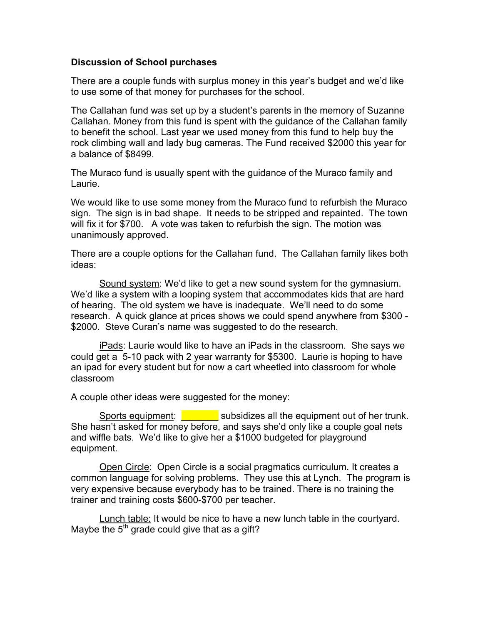### **Discussion of School purchases**

There are a couple funds with surplus money in this year's budget and we'd like to use some of that money for purchases for the school.

The Callahan fund was set up by a student's parents in the memory of Suzanne Callahan. Money from this fund is spent with the guidance of the Callahan family to benefit the school. Last year we used money from this fund to help buy the rock climbing wall and lady bug cameras. The Fund received \$2000 this year for a balance of \$8499.

The Muraco fund is usually spent with the guidance of the Muraco family and Laurie.

We would like to use some money from the Muraco fund to refurbish the Muraco sign. The sign is in bad shape. It needs to be stripped and repainted. The town will fix it for \$700. A vote was taken to refurbish the sign. The motion was unanimously approved.

There are a couple options for the Callahan fund. The Callahan family likes both ideas:

Sound system: We'd like to get a new sound system for the gymnasium. We'd like a system with a looping system that accommodates kids that are hard of hearing. The old system we have is inadequate. We'll need to do some research. A quick glance at prices shows we could spend anywhere from \$300 - \$2000. Steve Curan's name was suggested to do the research.

iPads: Laurie would like to have an iPads in the classroom. She says we could get a 5-10 pack with 2 year warranty for \$5300. Laurie is hoping to have an ipad for every student but for now a cart wheetled into classroom for whole classroom

A couple other ideas were suggested for the money:

Sports equipment: **We subsidizes all the equipment out of her trunk.** She hasn't asked for money before, and says she'd only like a couple goal nets and wiffle bats. We'd like to give her a \$1000 budgeted for playground equipment.

Open Circle: Open Circle is a social pragmatics curriculum. It creates a common language for solving problems. They use this at Lynch. The program is very expensive because everybody has to be trained. There is no training the trainer and training costs \$600-\$700 per teacher.

Lunch table: It would be nice to have a new lunch table in the courtyard. Maybe the  $5<sup>th</sup>$  grade could give that as a gift?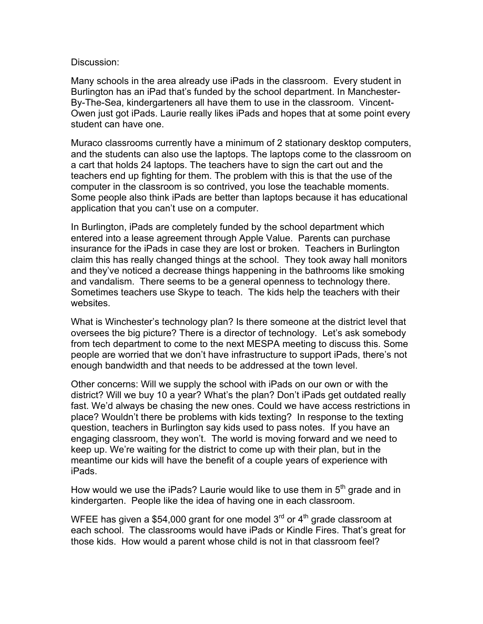### Discussion:

Many schools in the area already use iPads in the classroom. Every student in Burlington has an iPad that's funded by the school department. In Manchester-By-The-Sea, kindergarteners all have them to use in the classroom. Vincent-Owen just got iPads. Laurie really likes iPads and hopes that at some point every student can have one.

Muraco classrooms currently have a minimum of 2 stationary desktop computers, and the students can also use the laptops. The laptops come to the classroom on a cart that holds 24 laptops. The teachers have to sign the cart out and the teachers end up fighting for them. The problem with this is that the use of the computer in the classroom is so contrived, you lose the teachable moments. Some people also think iPads are better than laptops because it has educational application that you can't use on a computer.

In Burlington, iPads are completely funded by the school department which entered into a lease agreement through Apple Value. Parents can purchase insurance for the iPads in case they are lost or broken. Teachers in Burlington claim this has really changed things at the school. They took away hall monitors and they've noticed a decrease things happening in the bathrooms like smoking and vandalism. There seems to be a general openness to technology there. Sometimes teachers use Skype to teach. The kids help the teachers with their websites.

What is Winchester's technology plan? Is there someone at the district level that oversees the big picture? There is a director of technology. Let's ask somebody from tech department to come to the next MESPA meeting to discuss this. Some people are worried that we don't have infrastructure to support iPads, there's not enough bandwidth and that needs to be addressed at the town level.

Other concerns: Will we supply the school with iPads on our own or with the district? Will we buy 10 a year? What's the plan? Don't iPads get outdated really fast. We'd always be chasing the new ones. Could we have access restrictions in place? Wouldn't there be problems with kids texting? In response to the texting question, teachers in Burlington say kids used to pass notes. If you have an engaging classroom, they won't. The world is moving forward and we need to keep up. We're waiting for the district to come up with their plan, but in the meantime our kids will have the benefit of a couple years of experience with iPads.

How would we use the iPads? Laurie would like to use them in  $5<sup>th</sup>$  grade and in kindergarten. People like the idea of having one in each classroom.

WFEE has given a \$54,000 grant for one model  $3<sup>rd</sup>$  or  $4<sup>th</sup>$  grade classroom at each school. The classrooms would have iPads or Kindle Fires. That's great for those kids. How would a parent whose child is not in that classroom feel?